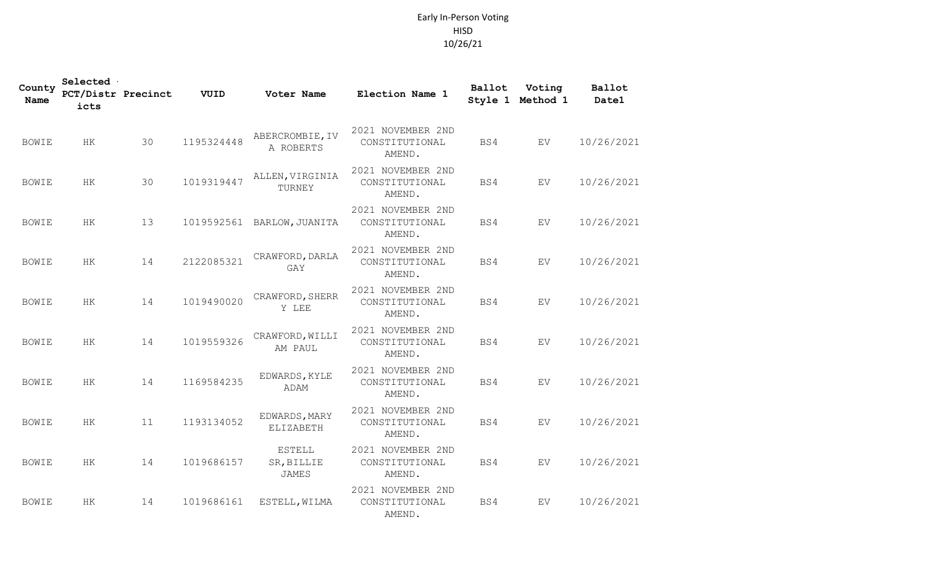## Early In-Person Voting HISD 10/26/21

| County<br><b>Name</b> | Selected<br>PCT/Distr Precinct<br>icts |    | VUID       | Voter Name                                  | Election Name 1                               | Ballot | Voting<br>Style 1 Method 1 | Ballot<br>Date1 |
|-----------------------|----------------------------------------|----|------------|---------------------------------------------|-----------------------------------------------|--------|----------------------------|-----------------|
| <b>BOWIE</b>          | HK                                     | 30 | 1195324448 | ABERCROMBIE, IV<br>A ROBERTS                | 2021 NOVEMBER 2ND<br>CONSTITUTIONAL<br>AMEND. | BS4    | <b>EV</b>                  | 10/26/2021      |
| <b>BOWIE</b>          | HK                                     | 30 | 1019319447 | ALLEN, VIRGINIA<br>TURNEY                   | 2021 NOVEMBER 2ND<br>CONSTITUTIONAL<br>AMEND. | BS4    | EV                         | 10/26/2021      |
| <b>BOWIE</b>          | HK                                     | 13 |            | 1019592561 BARLOW, JUANITA                  | 2021 NOVEMBER 2ND<br>CONSTITUTIONAL<br>AMEND. | BS4    | EV                         | 10/26/2021      |
| <b>BOWIE</b>          | HK                                     | 14 | 2122085321 | CRAWFORD, DARLA<br>GAY                      | 2021 NOVEMBER 2ND<br>CONSTITUTIONAL<br>AMEND. | BS4    | EV                         | 10/26/2021      |
| <b>BOWIE</b>          | HK                                     | 14 | 1019490020 | CRAWFORD, SHERR<br>Y LEE                    | 2021 NOVEMBER 2ND<br>CONSTITUTIONAL<br>AMEND. | BS4    | EV                         | 10/26/2021      |
| <b>BOWIE</b>          | HK                                     | 14 | 1019559326 | CRAWFORD, WILLI<br>AM PAUL                  | 2021 NOVEMBER 2ND<br>CONSTITUTIONAL<br>AMEND. | BS4    | <b>EV</b>                  | 10/26/2021      |
| <b>BOWIE</b>          | HK.                                    | 14 | 1169584235 | EDWARDS, KYLE<br>ADAM                       | 2021 NOVEMBER 2ND<br>CONSTITUTIONAL<br>AMEND. | BS4    | EV.                        | 10/26/2021      |
| <b>BOWIE</b>          | HK                                     | 11 | 1193134052 | EDWARDS, MARY<br>ELIZABETH                  | 2021 NOVEMBER 2ND<br>CONSTITUTIONAL<br>AMEND. | BS4    | EV                         | 10/26/2021      |
| <b>BOWIE</b>          | HK.                                    | 14 | 1019686157 | <b>ESTELL</b><br>SR, BILLIE<br><b>JAMES</b> | 2021 NOVEMBER 2ND<br>CONSTITUTIONAL<br>AMEND. | BS4    | EV.                        | 10/26/2021      |
| <b>BOWIE</b>          | HK                                     | 14 | 1019686161 | ESTELL, WILMA                               | 2021 NOVEMBER 2ND<br>CONSTITUTIONAL<br>AMEND. | BS4    | EV                         | 10/26/2021      |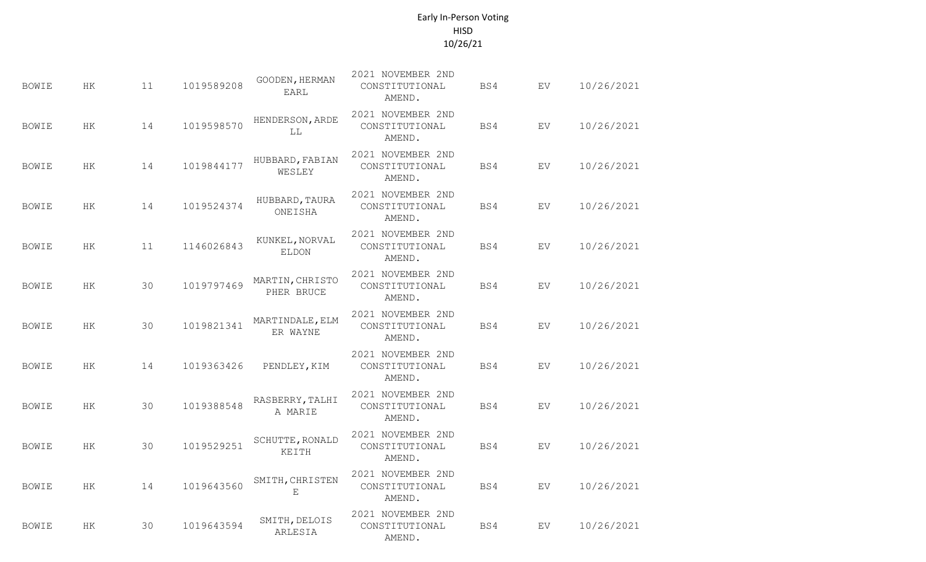## Early In-Person Voting HISD 10/26/21

| <b>BOWIE</b> | НK | 11 | 1019589208 | GOODEN, HERMAN<br><b>EARL</b>  | 2021 NOVEMBER 2ND<br>CONSTITUTIONAL<br>AMEND. | BS4 | EV        | 10/26/2021 |
|--------------|----|----|------------|--------------------------------|-----------------------------------------------|-----|-----------|------------|
| <b>BOWIE</b> | HK | 14 | 1019598570 | HENDERSON, ARDE<br>LL          | 2021 NOVEMBER 2ND<br>CONSTITUTIONAL<br>AMEND. | BS4 | EV.       | 10/26/2021 |
| <b>BOWIE</b> | HK | 14 | 1019844177 | HUBBARD, FABIAN<br>WESLEY      | 2021 NOVEMBER 2ND<br>CONSTITUTIONAL<br>AMEND. | BS4 | EV        | 10/26/2021 |
| <b>BOWIE</b> | HK | 14 | 1019524374 | HUBBARD, TAURA<br>ONEISHA      | 2021 NOVEMBER 2ND<br>CONSTITUTIONAL<br>AMEND. | BS4 | EV        | 10/26/2021 |
| <b>BOWIE</b> | HК | 11 | 1146026843 | KUNKEL, NORVAL<br><b>ELDON</b> | 2021 NOVEMBER 2ND<br>CONSTITUTIONAL<br>AMEND. | BS4 | EV        | 10/26/2021 |
| <b>BOWIE</b> | HK | 30 | 1019797469 | MARTIN, CHRISTO<br>PHER BRUCE  | 2021 NOVEMBER 2ND<br>CONSTITUTIONAL<br>AMEND. | BS4 | EV        | 10/26/2021 |
| <b>BOWIE</b> | HK | 30 | 1019821341 | MARTINDALE, ELM<br>ER WAYNE    | 2021 NOVEMBER 2ND<br>CONSTITUTIONAL<br>AMEND. | BS4 | EV        | 10/26/2021 |
| <b>BOWIE</b> | HK | 14 | 1019363426 | PENDLEY, KIM                   | 2021 NOVEMBER 2ND<br>CONSTITUTIONAL<br>AMEND. | BS4 | EV        | 10/26/2021 |
| <b>BOWIE</b> | HК | 30 | 1019388548 | RASBERRY, TALHI<br>A MARIE     | 2021 NOVEMBER 2ND<br>CONSTITUTIONAL<br>AMEND. | BS4 | EV        | 10/26/2021 |
| <b>BOWIE</b> | НK | 30 | 1019529251 | SCHUTTE, RONALD<br>KEITH       | 2021 NOVEMBER 2ND<br>CONSTITUTIONAL<br>AMEND. | BS4 | EV        | 10/26/2021 |
| <b>BOWIE</b> | HK | 14 | 1019643560 | SMITH, CHRISTEN<br>E           | 2021 NOVEMBER 2ND<br>CONSTITUTIONAL<br>AMEND. | BS4 | <b>EV</b> | 10/26/2021 |
| <b>BOWIE</b> | HK | 30 | 1019643594 | SMITH, DELOIS<br>ARLESIA       | 2021 NOVEMBER 2ND<br>CONSTITUTIONAL<br>AMEND. | BS4 | EV        | 10/26/2021 |